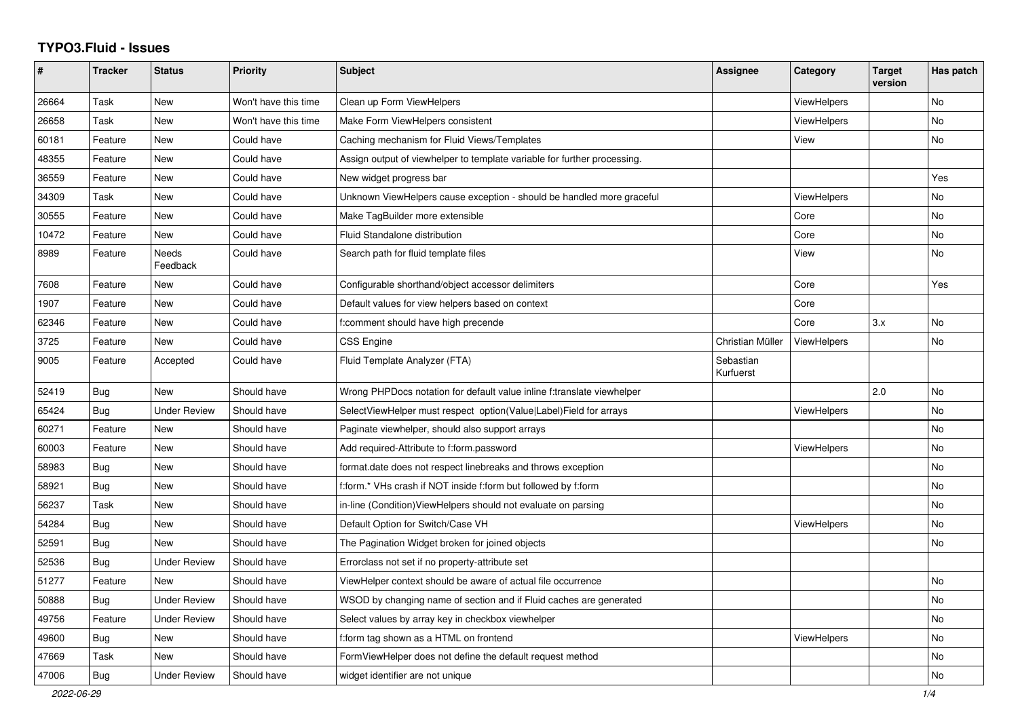## **TYPO3.Fluid - Issues**

| #     | Tracker    | <b>Status</b>       | <b>Priority</b>      | <b>Subject</b>                                                           | Assignee               | Category           | <b>Target</b><br>version | Has patch      |
|-------|------------|---------------------|----------------------|--------------------------------------------------------------------------|------------------------|--------------------|--------------------------|----------------|
| 26664 | Task       | New                 | Won't have this time | Clean up Form ViewHelpers                                                |                        | <b>ViewHelpers</b> |                          | N <sub>o</sub> |
| 26658 | Task       | <b>New</b>          | Won't have this time | Make Form ViewHelpers consistent                                         |                        | <b>ViewHelpers</b> |                          | No             |
| 60181 | Feature    | New                 | Could have           | Caching mechanism for Fluid Views/Templates                              |                        | View               |                          | No             |
| 48355 | Feature    | New                 | Could have           | Assign output of viewhelper to template variable for further processing. |                        |                    |                          |                |
| 36559 | Feature    | New                 | Could have           | New widget progress bar                                                  |                        |                    |                          | Yes            |
| 34309 | Task       | <b>New</b>          | Could have           | Unknown ViewHelpers cause exception - should be handled more graceful    |                        | <b>ViewHelpers</b> |                          | No             |
| 30555 | Feature    | New                 | Could have           | Make TagBuilder more extensible                                          |                        | Core               |                          | No             |
| 10472 | Feature    | <b>New</b>          | Could have           | Fluid Standalone distribution                                            |                        | Core               |                          | No             |
| 8989  | Feature    | Needs<br>Feedback   | Could have           | Search path for fluid template files                                     |                        | View               |                          | No             |
| 7608  | Feature    | <b>New</b>          | Could have           | Configurable shorthand/object accessor delimiters                        |                        | Core               |                          | Yes            |
| 1907  | Feature    | New                 | Could have           | Default values for view helpers based on context                         |                        | Core               |                          |                |
| 62346 | Feature    | New                 | Could have           | f:comment should have high precende                                      |                        | Core               | 3.x                      | No.            |
| 3725  | Feature    | <b>New</b>          | Could have           | <b>CSS Engine</b>                                                        | Christian Müller       | ViewHelpers        |                          | No             |
| 9005  | Feature    | Accepted            | Could have           | Fluid Template Analyzer (FTA)                                            | Sebastian<br>Kurfuerst |                    |                          |                |
| 52419 | <b>Bug</b> | New                 | Should have          | Wrong PHPDocs notation for default value inline f:translate viewhelper   |                        |                    | 2.0                      | No             |
| 65424 | Bug        | <b>Under Review</b> | Should have          | SelectViewHelper must respect option(Value Label)Field for arrays        |                        | ViewHelpers        |                          | No             |
| 60271 | Feature    | New                 | Should have          | Paginate viewhelper, should also support arrays                          |                        |                    |                          | No             |
| 60003 | Feature    | New                 | Should have          | Add required-Attribute to f:form.password                                |                        | <b>ViewHelpers</b> |                          | No             |
| 58983 | Bug        | New                 | Should have          | format.date does not respect linebreaks and throws exception             |                        |                    |                          | No             |
| 58921 | Bug        | <b>New</b>          | Should have          | f:form.* VHs crash if NOT inside f:form but followed by f:form           |                        |                    |                          | No             |
| 56237 | Task       | <b>New</b>          | Should have          | in-line (Condition)ViewHelpers should not evaluate on parsing            |                        |                    |                          | No             |
| 54284 | Bug        | <b>New</b>          | Should have          | Default Option for Switch/Case VH                                        |                        | <b>ViewHelpers</b> |                          | No             |
| 52591 | Bug        | <b>New</b>          | Should have          | The Pagination Widget broken for joined objects                          |                        |                    |                          | No             |
| 52536 | Bug        | <b>Under Review</b> | Should have          | Errorclass not set if no property-attribute set                          |                        |                    |                          |                |
| 51277 | Feature    | <b>New</b>          | Should have          | ViewHelper context should be aware of actual file occurrence             |                        |                    |                          | No             |
| 50888 | Bug        | <b>Under Review</b> | Should have          | WSOD by changing name of section and if Fluid caches are generated       |                        |                    |                          | No             |
| 49756 | Feature    | <b>Under Review</b> | Should have          | Select values by array key in checkbox viewhelper                        |                        |                    |                          | No             |
| 49600 | Bug        | <b>New</b>          | Should have          | f:form tag shown as a HTML on frontend                                   |                        | <b>ViewHelpers</b> |                          | No             |
| 47669 | Task       | <b>New</b>          | Should have          | FormViewHelper does not define the default request method                |                        |                    |                          | No             |
| 47006 | Bug        | <b>Under Review</b> | Should have          | widget identifier are not unique                                         |                        |                    |                          | No             |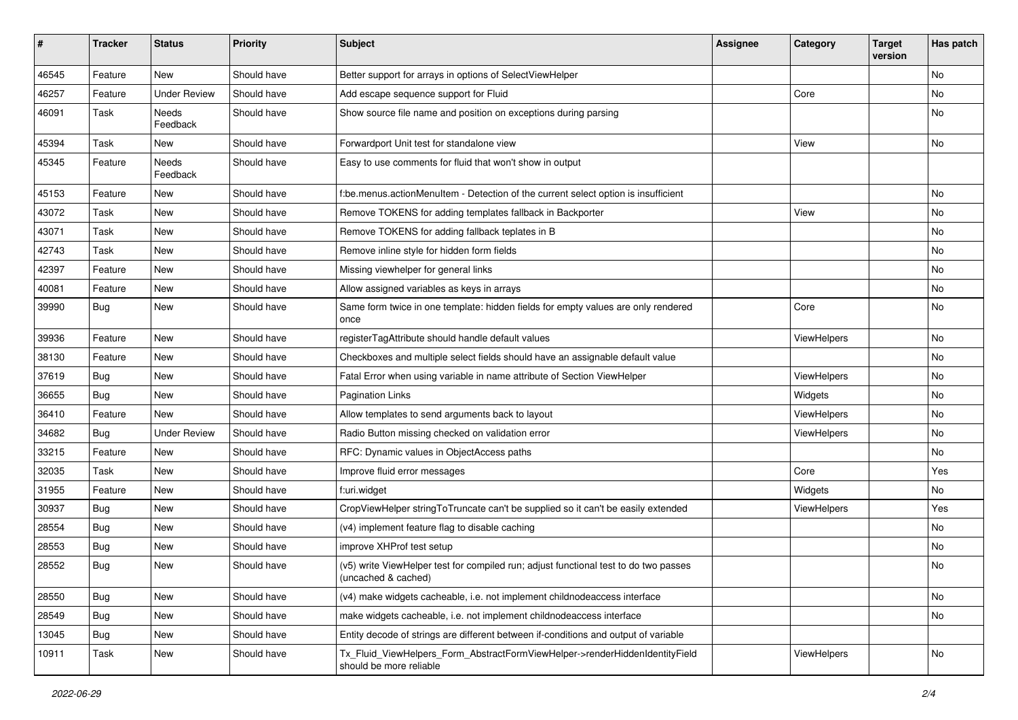| #     | <b>Tracker</b> | <b>Status</b>       | <b>Priority</b> | <b>Subject</b>                                                                                              | <b>Assignee</b> | Category    | <b>Target</b><br>version | Has patch |
|-------|----------------|---------------------|-----------------|-------------------------------------------------------------------------------------------------------------|-----------------|-------------|--------------------------|-----------|
| 46545 | Feature        | New                 | Should have     | Better support for arrays in options of SelectViewHelper                                                    |                 |             |                          | <b>No</b> |
| 46257 | Feature        | <b>Under Review</b> | Should have     | Add escape sequence support for Fluid                                                                       |                 | Core        |                          | No        |
| 46091 | Task           | Needs<br>Feedback   | Should have     | Show source file name and position on exceptions during parsing                                             |                 |             |                          | No        |
| 45394 | Task           | New                 | Should have     | Forwardport Unit test for standalone view                                                                   |                 | View        |                          | No        |
| 45345 | Feature        | Needs<br>Feedback   | Should have     | Easy to use comments for fluid that won't show in output                                                    |                 |             |                          |           |
| 45153 | Feature        | New                 | Should have     | f:be.menus.actionMenuItem - Detection of the current select option is insufficient                          |                 |             |                          | <b>No</b> |
| 43072 | Task           | New                 | Should have     | Remove TOKENS for adding templates fallback in Backporter                                                   |                 | View        |                          | No        |
| 43071 | Task           | New                 | Should have     | Remove TOKENS for adding fallback teplates in B                                                             |                 |             |                          | No        |
| 42743 | Task           | New                 | Should have     | Remove inline style for hidden form fields                                                                  |                 |             |                          | No        |
| 42397 | Feature        | New                 | Should have     | Missing viewhelper for general links                                                                        |                 |             |                          | No        |
| 40081 | Feature        | New                 | Should have     | Allow assigned variables as keys in arrays                                                                  |                 |             |                          | No        |
| 39990 | Bug            | New                 | Should have     | Same form twice in one template: hidden fields for empty values are only rendered<br>once                   |                 | Core        |                          | No        |
| 39936 | Feature        | New                 | Should have     | registerTagAttribute should handle default values                                                           |                 | ViewHelpers |                          | No        |
| 38130 | Feature        | New                 | Should have     | Checkboxes and multiple select fields should have an assignable default value                               |                 |             |                          | No        |
| 37619 | Bug            | New                 | Should have     | Fatal Error when using variable in name attribute of Section ViewHelper                                     |                 | ViewHelpers |                          | No        |
| 36655 | Bug            | New                 | Should have     | <b>Pagination Links</b>                                                                                     |                 | Widgets     |                          | No        |
| 36410 | Feature        | New                 | Should have     | Allow templates to send arguments back to layout                                                            |                 | ViewHelpers |                          | No        |
| 34682 | Bug            | <b>Under Review</b> | Should have     | Radio Button missing checked on validation error                                                            |                 | ViewHelpers |                          | No        |
| 33215 | Feature        | New                 | Should have     | RFC: Dynamic values in ObjectAccess paths                                                                   |                 |             |                          | No        |
| 32035 | Task           | New                 | Should have     | Improve fluid error messages                                                                                |                 | Core        |                          | Yes       |
| 31955 | Feature        | New                 | Should have     | f:uri.widget                                                                                                |                 | Widgets     |                          | No        |
| 30937 | Bug            | New                 | Should have     | CropViewHelper stringToTruncate can't be supplied so it can't be easily extended                            |                 | ViewHelpers |                          | Yes       |
| 28554 | Bug            | New                 | Should have     | (v4) implement feature flag to disable caching                                                              |                 |             |                          | No        |
| 28553 | Bug            | New                 | Should have     | improve XHProf test setup                                                                                   |                 |             |                          | <b>No</b> |
| 28552 | Bug            | New                 | Should have     | (v5) write ViewHelper test for compiled run; adjust functional test to do two passes<br>(uncached & cached) |                 |             |                          | No        |
| 28550 | <b>Bug</b>     | New                 | Should have     | (v4) make widgets cacheable, i.e. not implement childnodeaccess interface                                   |                 |             |                          | No        |
| 28549 | <b>Bug</b>     | New                 | Should have     | make widgets cacheable, i.e. not implement childnodeaccess interface                                        |                 |             |                          | No        |
| 13045 | Bug            | New                 | Should have     | Entity decode of strings are different between if-conditions and output of variable                         |                 |             |                          |           |
| 10911 | Task           | New                 | Should have     | Tx_Fluid_ViewHelpers_Form_AbstractFormViewHelper->renderHiddenIdentityField<br>should be more reliable      |                 | ViewHelpers |                          | No        |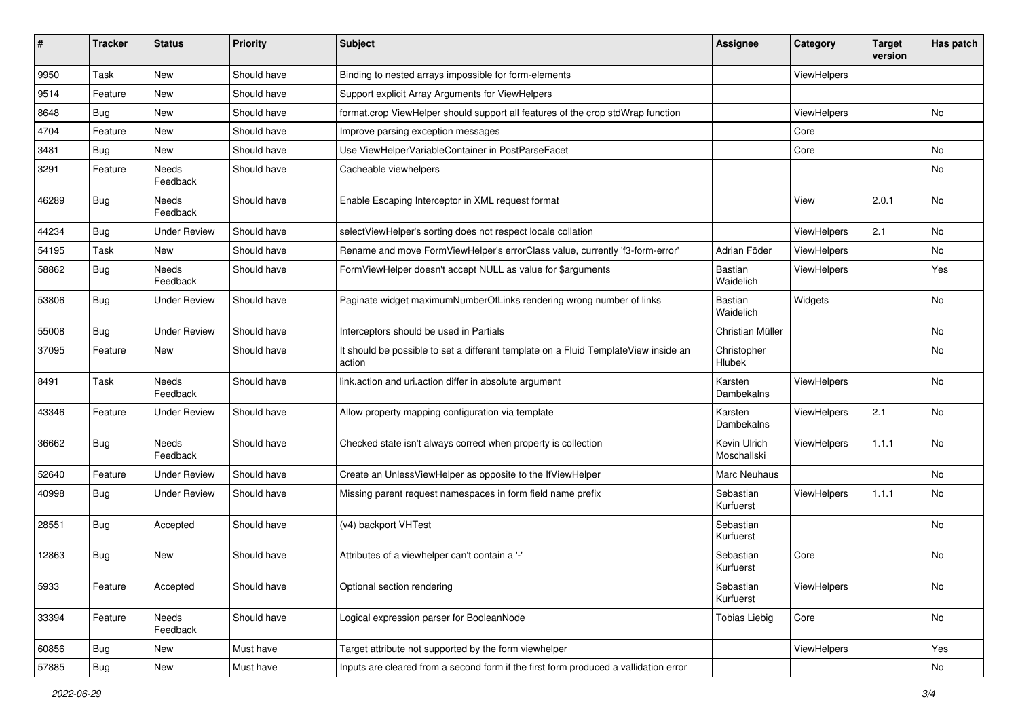| ∦     | <b>Tracker</b> | <b>Status</b>            | <b>Priority</b> | <b>Subject</b>                                                                                | Assignee                    | Category    | <b>Target</b><br>version | Has patch |
|-------|----------------|--------------------------|-----------------|-----------------------------------------------------------------------------------------------|-----------------------------|-------------|--------------------------|-----------|
| 9950  | Task           | New                      | Should have     | Binding to nested arrays impossible for form-elements                                         |                             | ViewHelpers |                          |           |
| 9514  | Feature        | New                      | Should have     | Support explicit Array Arguments for ViewHelpers                                              |                             |             |                          |           |
| 8648  | <b>Bug</b>     | New                      | Should have     | format.crop ViewHelper should support all features of the crop stdWrap function               |                             | ViewHelpers |                          | No        |
| 4704  | Feature        | <b>New</b>               | Should have     | Improve parsing exception messages                                                            |                             | Core        |                          |           |
| 3481  | <b>Bug</b>     | New                      | Should have     | Use ViewHelperVariableContainer in PostParseFacet                                             |                             | Core        |                          | No        |
| 3291  | Feature        | <b>Needs</b><br>Feedback | Should have     | Cacheable viewhelpers                                                                         |                             |             |                          | No        |
| 46289 | Bug            | Needs<br>Feedback        | Should have     | Enable Escaping Interceptor in XML request format                                             |                             | View        | 2.0.1                    | No.       |
| 44234 | Bug            | <b>Under Review</b>      | Should have     | selectViewHelper's sorting does not respect locale collation                                  |                             | ViewHelpers | 2.1                      | No.       |
| 54195 | Task           | New                      | Should have     | Rename and move FormViewHelper's errorClass value, currently 'f3-form-error'                  | Adrian Föder                | ViewHelpers |                          | No        |
| 58862 | Bug            | <b>Needs</b><br>Feedback | Should have     | FormViewHelper doesn't accept NULL as value for \$arguments                                   | Bastian<br>Waidelich        | ViewHelpers |                          | Yes       |
| 53806 | Bug            | <b>Under Review</b>      | Should have     | Paginate widget maximumNumberOfLinks rendering wrong number of links                          | Bastian<br>Waidelich        | Widgets     |                          | No        |
| 55008 | Bug            | <b>Under Review</b>      | Should have     | Interceptors should be used in Partials                                                       | Christian Müller            |             |                          | No        |
| 37095 | Feature        | New                      | Should have     | It should be possible to set a different template on a Fluid TemplateView inside an<br>action | Christopher<br>Hlubek       |             |                          | No        |
| 8491  | Task           | Needs<br>Feedback        | Should have     | link.action and uri.action differ in absolute argument                                        | Karsten<br>Dambekalns       | ViewHelpers |                          | No        |
| 43346 | Feature        | <b>Under Review</b>      | Should have     | Allow property mapping configuration via template                                             | Karsten<br>Dambekalns       | ViewHelpers | 2.1                      | No.       |
| 36662 | Bug            | <b>Needs</b><br>Feedback | Should have     | Checked state isn't always correct when property is collection                                | Kevin Ulrich<br>Moschallski | ViewHelpers | 1.1.1                    | No        |
| 52640 | Feature        | <b>Under Review</b>      | Should have     | Create an UnlessViewHelper as opposite to the IfViewHelper                                    | Marc Neuhaus                |             |                          | No        |
| 40998 | Bug            | <b>Under Review</b>      | Should have     | Missing parent request namespaces in form field name prefix                                   | Sebastian<br>Kurfuerst      | ViewHelpers | 1.1.1                    | <b>No</b> |
| 28551 | Bug            | Accepted                 | Should have     | (v4) backport VHTest                                                                          | Sebastian<br>Kurfuerst      |             |                          | No        |
| 12863 | Bug            | New                      | Should have     | Attributes of a viewhelper can't contain a '-'                                                | Sebastian<br>Kurfuerst      | Core        |                          | No        |
| 5933  | Feature        | Accepted                 | Should have     | Optional section rendering                                                                    | Sebastian<br>Kurfuerst      | ViewHelpers |                          | No        |
| 33394 | Feature        | Needs<br>Feedback        | Should have     | Logical expression parser for BooleanNode                                                     | <b>Tobias Liebig</b>        | Core        |                          | No        |
| 60856 | Bug            | New                      | Must have       | Target attribute not supported by the form viewhelper                                         |                             | ViewHelpers |                          | Yes       |
| 57885 | <b>Bug</b>     | New                      | Must have       | Inputs are cleared from a second form if the first form produced a vallidation error          |                             |             |                          | No        |